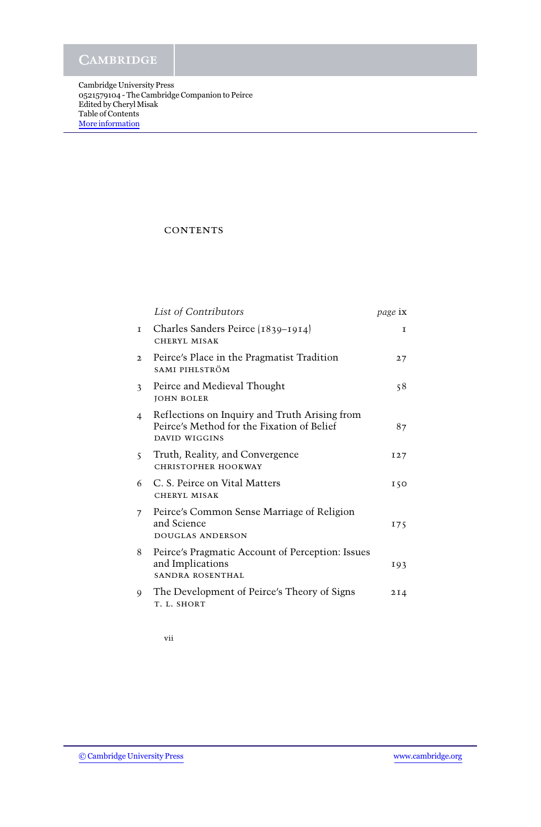**CAMBRIDGE** 

Cambridge University Press 0521579104 - The Cambridge Companion to Peirce Edited by Cheryl Misak Table of Contents [More information](http://www.cambridge.org/0521579104)

## **CONTENTS**

|                         | List of Contributors                                                                                         | page ix         |
|-------------------------|--------------------------------------------------------------------------------------------------------------|-----------------|
| I                       | Charles Sanders Peirce (1839–1914)<br>CHERYL MISAK                                                           | $\mathbf{T}$    |
| $\mathbf{2}$            | Peirce's Place in the Pragmatist Tradition<br>SAMI PIHLSTRÖM                                                 | 27              |
| $\overline{\mathbf{3}}$ | Peirce and Medieval Thought<br><b>JOHN BOLER</b>                                                             | 58              |
| $\overline{4}$          | Reflections on Inquiry and Truth Arising from<br>Peirce's Method for the Fixation of Belief<br>DAVID WIGGINS | 87              |
| $\overline{\mathbf{S}}$ | Truth, Reality, and Convergence<br>CHRISTOPHER HOOKWAY                                                       | I <sub>27</sub> |
| 6                       | C. S. Peirce on Vital Matters<br>CHERYL MISAK                                                                | 150             |
| 7 <sup>7</sup>          | Peirce's Common Sense Marriage of Religion<br>and Science<br><b>DOUGLAS ANDERSON</b>                         | 175             |
| 8                       | Peirce's Pragmatic Account of Perception: Issues<br>and Implications<br>SANDRA ROSENTHAL                     | 193             |
| 9                       | The Development of Peirce's Theory of Signs<br>T. L. SHORT                                                   | 2I4             |